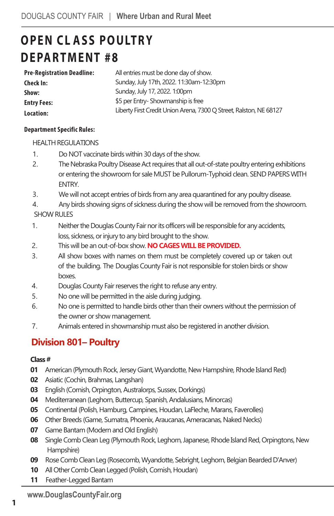# **OPEN CL ASS POULTRY D EPARTMENT #8**

| Pre-Registration Deadline: | All entries must be done day of show.                              |
|----------------------------|--------------------------------------------------------------------|
| Check In:                  | Sunday, July 17th, 2022. 11:30am-12:30pm                           |
| Show:                      | Sunday, July 17, 2022. 1:00pm                                      |
| Entry Fees:                | \$5 per Entry-Showmanship is free                                  |
| Location:                  | Liberty First Credit Union Arena, 7300 Q Street, Ralston, NE 68127 |

#### **Department Specific Rules:**

#### HEALTH REGULATIONS

- 1. Do NOT vaccinate birds within 30 days of the show.
- 2. The Nebraska Poultry Disease Act requires that all out-of-state poultry entering exhibitions or entering the showroom for sale MUST be Pullorum-Typhoid clean. SEND PAPERS WITH ENTRY.
- 3. We will not accept entries of birds from any area quarantined for any poultry disease.
- 4. Any birds showing signs of sickness during the show will be removed from the showroom.
- SHOW RULES
- 1. Neither the Douglas County Fair nor its officers will be responsible for any accidents, loss, sickness, or injury to any bird brought to the show.
- 2. This will be an out-of-box show. **NO CAGES WILL BE PROVIDED.**
- 3. All show boxes with names on them must be completely covered up or taken out of the building. The Douglas County Fair is not responsible for stolen birds or show boxes.
- 4. Douglas County Fair reserves the right to refuse any entry.
- 5. No one will be permitted in the aisle during judging.
- 6. No one is permitted to handle birds other than their owners without the permission of the owner or show management.
- 7. Animals entered in showmanship must also be registered in another division.

### **Division 801– Poultry**

#### **Class #**

- **01** American (Plymouth Rock, Jersey Giant, Wyandotte, New Hampshire, Rhode Island Red)
- **02** Asiatic (Cochin, Brahmas, Langshan)
- **03 English (Cornish, Orpington, Australorps, Sussex, Dorkings)**
- **04** Mediterranean (Leghorn, Buttercup, Spanish, Andalusians, Minorcas)
- **05** Continental (Polish, Hamburg, Campines, Houdan, LaFleche, Marans, Faverolles)
- **06** Other Breeds (Game, Sumatra, Phoenix, Araucanas, Ameracanas, Naked Necks)
- **07** Game Bantam (Modern and Old English)
- **08** Single Comb Clean Leg (Plymouth Rock, Leghorn,Japanese, Rhode Island Red, Orpingtons, New Hampshire)
- **09** Rose Comb CleanLeg (Rosecomb, Wyandotte, Sebright, Leghorn, Belgian Bearded D'Anver)
- **10** All Other Comb Clean Legged (Polish, Cornish, Houdan)
- **11** Feather-Legged Bantam